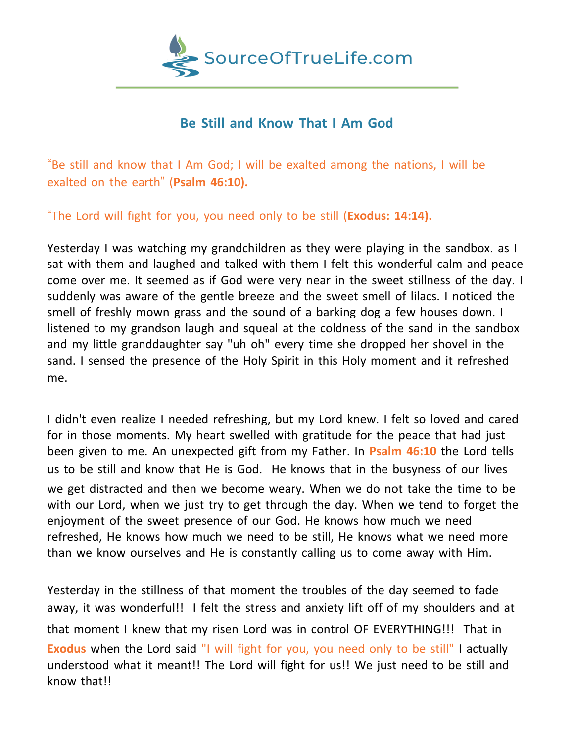

## **Be Still and Know That I Am God**

"Be still and know that I Am God; I will be exalted among the nations, I will be exalted on the earth" (**Psalm 46:10).**

"The Lord will fight for you, you need only to be still (**Exodus: 14:14).**

Yesterday I was watching my grandchildren as they were playing in the sandbox. as I sat with them and laughed and talked with them I felt this wonderful calm and peace come over me. It seemed as if God were very near in the sweet stillness of the day. I suddenly was aware of the gentle breeze and the sweet smell of lilacs. I noticed the smell of freshly mown grass and the sound of a barking dog a few houses down. I listened to my grandson laugh and squeal at the coldness of the sand in the sandbox and my little granddaughter say "uh oh" every time she dropped her shovel in the sand. I sensed the presence of the Holy Spirit in this Holy moment and it refreshed me.

I didn't even realize I needed refreshing, but my Lord knew. I felt so loved and cared for in those moments. My heart swelled with gratitude for the peace that had just been given to me. An unexpected gift from my Father. In **Psalm 46:10** the Lord tells us to be still and know that He is God. He knows that in the busyness of our lives we get distracted and then we become weary. When we do not take the time to be with our Lord, when we just try to get through the day. When we tend to forget the enjoyment of the sweet presence of our God. He knows how much we need refreshed, He knows how much we need to be still, He knows what we need more than we know ourselves and He is constantly calling us to come away with Him.

Yesterday in the stillness of that moment the troubles of the day seemed to fade away, it was wonderful!! I felt the stress and anxiety lift off of my shoulders and at that moment I knew that my risen Lord was in control OF EVERYTHING!!! That in **Exodus** when the Lord said "I will fight for you, you need only to be still" I actually understood what it meant!! The Lord will fight for us!! We just need to be still and know that!!